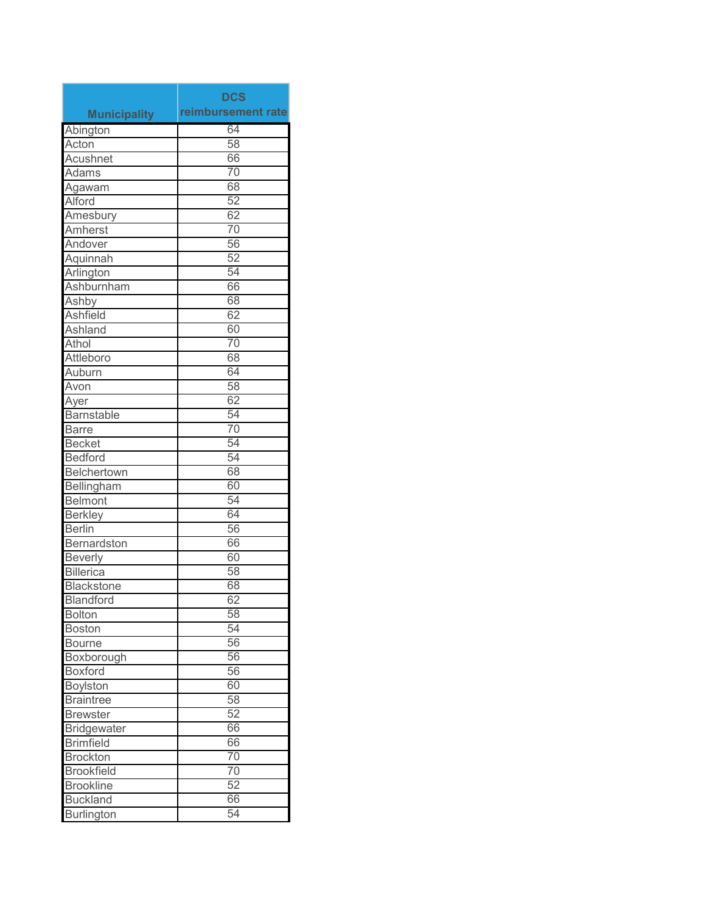|                     | <b>DCS</b>         |
|---------------------|--------------------|
| <b>Municipality</b> | reimbursement rate |
| Abington            | 64                 |
| Acton               | 58                 |
| Acushnet            | 66                 |
| Adams               | 70                 |
| Agawam              | 68                 |
| <b>Alford</b>       | 52                 |
| Amesbury            | 62                 |
| Amherst             | 70                 |
| Andover             | 56                 |
| Aquinnah            | 52                 |
| Arlington           | 54                 |
| Ashburnham          | 66                 |
| Ashby               | 68                 |
| <b>Ashfield</b>     | 62                 |
| Ashland             | 60                 |
| Athol               | 70                 |
| Attleboro           | 68                 |
| Auburn              | 64                 |
| Avon                | 58                 |
| Ayer                | 62                 |
| <b>Barnstable</b>   | 54                 |
| <b>Barre</b>        | 70                 |
| <b>Becket</b>       | 54                 |
| <b>Bedford</b>      | 54                 |
| Belchertown         | 68                 |
| Bellingham          | 60                 |
| <b>Belmont</b>      | 54                 |
| <b>Berkley</b>      | 64                 |
| <b>Berlin</b>       | 56                 |
| Bernardston         | 66                 |
| <b>Beverly</b>      | 60                 |
| <b>Billerica</b>    | 58                 |
| <b>Blackstone</b>   | 68                 |
| <b>Blandford</b>    | 62                 |
| <b>Bolton</b>       | 58                 |
| <b>Boston</b>       | 54                 |
| <b>Bourne</b>       | 56                 |
| Boxborough          | 56                 |
| <b>Boxford</b>      | 56                 |
| <b>Boylston</b>     | 60                 |
| <b>Braintree</b>    | 58                 |
| <b>Brewster</b>     | 52                 |
| <b>Bridgewater</b>  | 66                 |
| <b>Brimfield</b>    | 66                 |
| <b>Brockton</b>     | $\overline{70}$    |
| <b>Brookfield</b>   | 70                 |
| <b>Brookline</b>    | 52                 |
| <b>Buckland</b>     | 66                 |
| <b>Burlington</b>   | 54                 |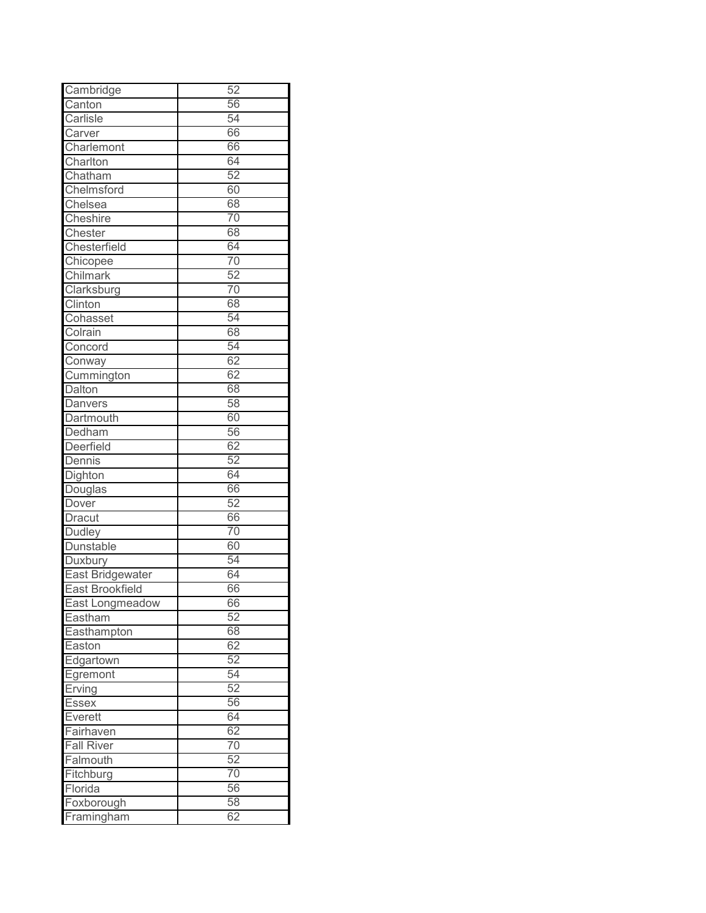| Cambridge         | 52              |
|-------------------|-----------------|
| Canton            | 56              |
| Carlisle          | 54              |
| Carver            | 66              |
| Charlemont        | 66              |
| Charlton          | 64              |
| Chatham           | 52              |
| Chelmsford        | 60              |
| Chelsea           | 68              |
| Cheshire          | 70              |
| Chester           | 68              |
| Chesterfield      | 64              |
| Chicopee          | 70              |
| Chilmark          | 52              |
| Clarksburg        | 70              |
| Clinton           | 68              |
| Cohasset          | 54              |
| Colrain           | 68              |
| Concord           | 54              |
| Conway            | 62              |
| Cummington        | 62              |
| Dalton            | 68              |
| Danvers           | 58              |
| Dartmouth         | 60              |
| Dedham            | 56              |
| Deerfield         | 62              |
| Dennis            | 52              |
| Dighton           | 64              |
| Douglas           | 66              |
| Dover             | 52              |
| <b>Dracut</b>     | 66              |
| <b>Dudley</b>     | 70              |
| Dunstable         | 60              |
| Duxbury           | 54              |
| East Bridgewater  | 64              |
| East Brookfield   | 66              |
| East Longmeadow   | 66              |
| Eastham           | 52              |
| Easthampton       | 68              |
| Easton            | 62              |
| Edgartown         | 52              |
|                   | 54              |
| Egremont          | 52              |
| Erving            | 56              |
| <b>Essex</b>      | 64              |
| Everett           | 62              |
| Fairhaven         |                 |
| <b>Fall River</b> | 70              |
| Falmouth          | 52              |
| Fitchburg         | $\overline{70}$ |
| Florida           | 56              |
| Foxborough        | 58              |
| Framingham        | 62              |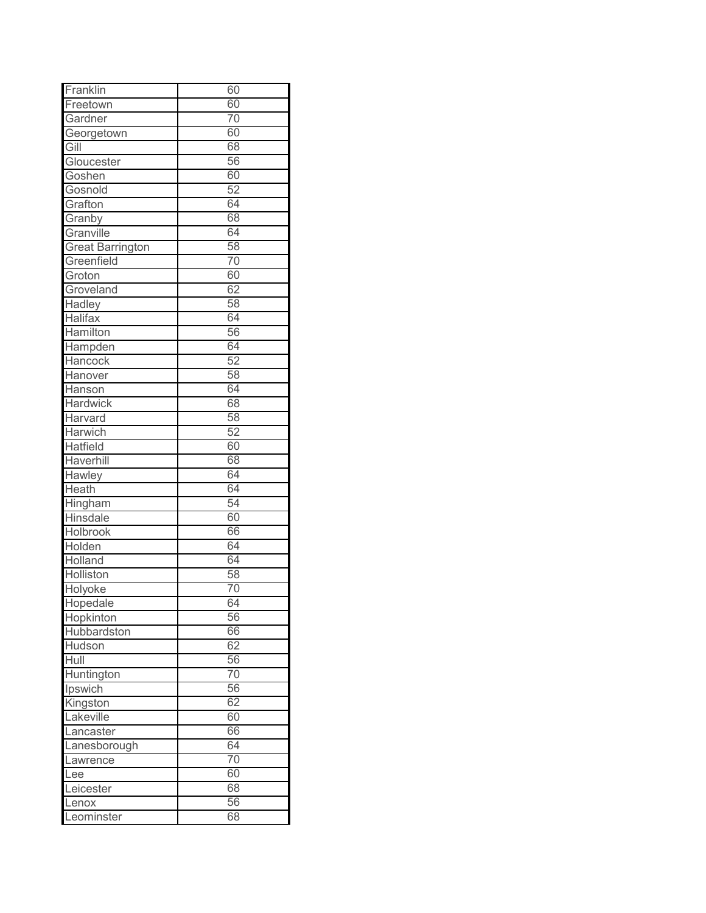| Franklin                | 60              |
|-------------------------|-----------------|
| Freetown                | 60              |
| Gardner                 | 70              |
| Georgetown              | 60              |
| Gill                    | 68              |
| Gloucester              | 56              |
| Goshen                  | 60              |
| Gosnold                 | 52              |
| Grafton                 | 64              |
| Granby                  | 68              |
| Granville               | 64              |
| <b>Great Barrington</b> | 58              |
| Greenfield              | 70              |
| Groton                  | 60              |
| Groveland               | 62              |
| <b>Hadley</b>           | 58              |
| Halifax                 | 64              |
| Hamilton                | 56              |
| Hampden                 | 64              |
| Hancock                 | 52              |
| Hanover                 | 58              |
| Hanson                  | 64              |
| <b>Hardwick</b>         | 68              |
| Harvard                 | 58              |
| Harwich                 | 52              |
| <b>Hatfield</b>         | 60              |
| Haverhill               | 68              |
| Hawley                  | 64              |
| Heath                   | 64              |
| Hingham                 | 54              |
| Hinsdale                | 60              |
| Holbrook                | 66              |
| Holden                  | 64              |
| Holland                 | 64              |
| Holliston               | 58              |
| Holyoke                 | $\overline{70}$ |
| Hopedale                | 64              |
| Hopkinton               | 56              |
| Hubbardston             | 66              |
| Hudson                  | 62              |
| Hull                    | 56              |
| Huntington              | $\overline{70}$ |
| Ipswich                 | 56              |
| Kingston                | 62              |
| Lakeville               | 60              |
| Lancaster               | 66              |
| Lanesborough            | 64              |
| Lawrence                | 70              |
| Lee                     | 60              |
| Leicester               | 68              |
| Lenox                   | 56              |
| Leominster              | 68              |
|                         |                 |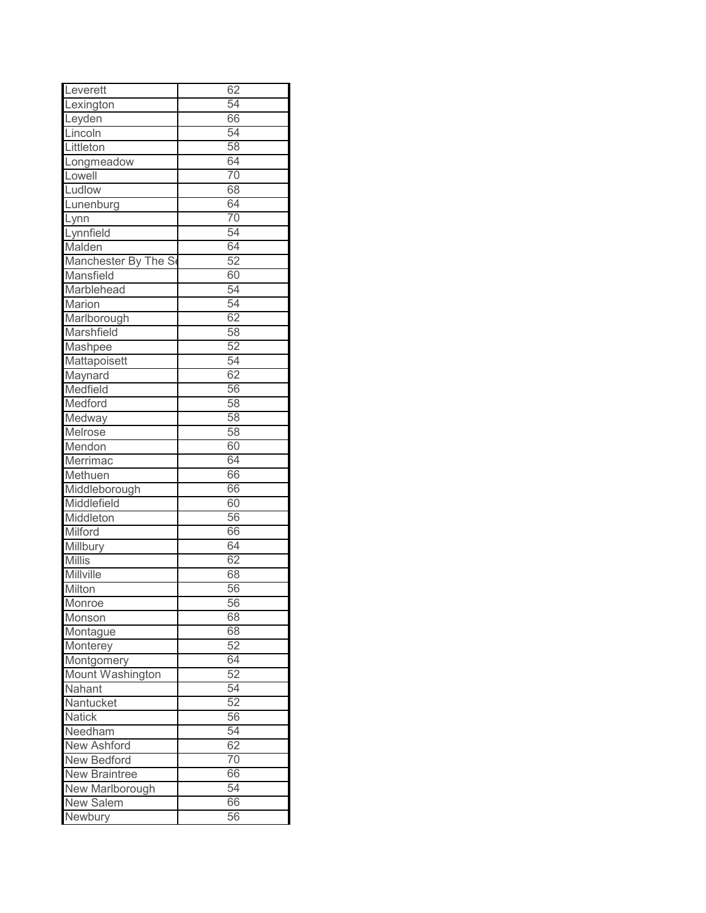| Leverett             | 62              |
|----------------------|-----------------|
| Lexington            | 54              |
| Leyden               | 66              |
| Lincoln              | 54              |
| Littleton            | 58              |
| Longmeadow           | 64              |
| Lowell               | 70              |
| Ludlow               | 68              |
| Lunenburg            | 64              |
| Lynn                 | 70              |
| Lynnfield            | 54              |
| Malden               | 64              |
| Manchester By The Se | 52              |
| Mansfield            | 60              |
| Marblehead           | 54              |
| Marion               | 54              |
| Marlborough          | 62              |
| Marshfield           | 58              |
| Mashpee              | 52              |
| Mattapoisett         | 54              |
| Maynard              | 62              |
| Medfield             | 56              |
| Medford              | 58              |
| Medway               | 58              |
| Melrose              | 58              |
| Mendon               | 60              |
| Merrimac             | 64              |
| Methuen              | 66              |
| Middleborough        | 66              |
| Middlefield          | 60              |
| Middleton            | 56              |
| Milford              | 66              |
| Millbury             | 64              |
| <b>Millis</b>        | 62              |
| Millville            | 68              |
| Milton               | 56              |
| Monroe               | 56              |
| Monson               | 68              |
| Montague             | 68              |
| Monterey             | 52              |
| Montgomery           | 64              |
| Mount Washington     | 52              |
| Nahant               | 54              |
| Nantucket            | 52              |
| <b>Natick</b>        | 56              |
| Needham              | 54              |
| <b>New Ashford</b>   | 62              |
| <b>New Bedford</b>   | $\overline{70}$ |
| <b>New Braintree</b> | 66              |
| New Marlborough      | 54              |
| <b>New Salem</b>     | 66              |
| Newbury              | 56              |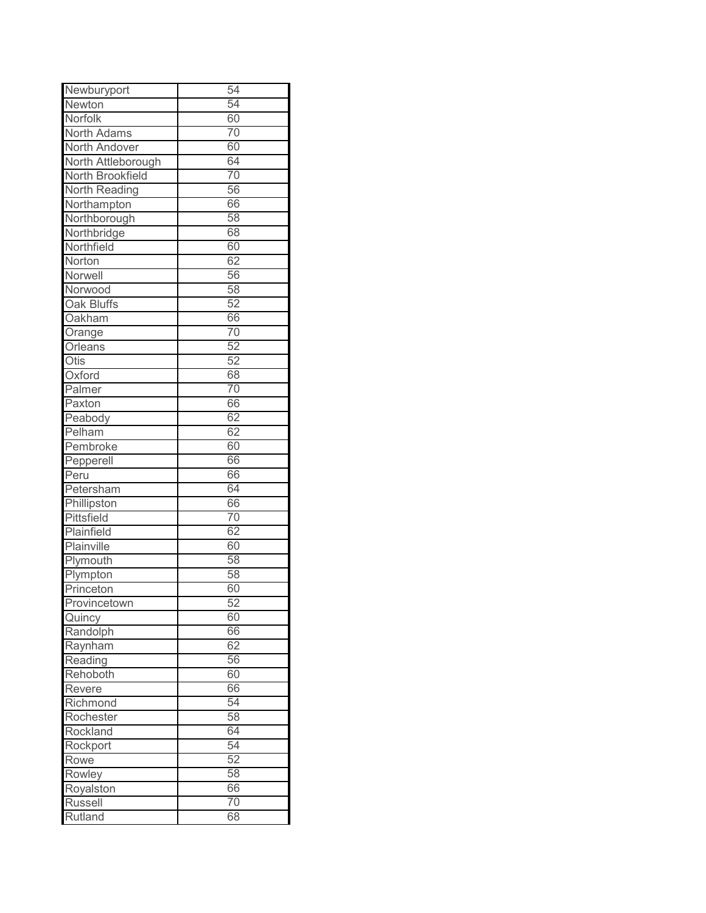| Newburyport          | 54 |
|----------------------|----|
| Newton               | 54 |
| Norfolk              | 60 |
| North Adams          | 70 |
| North Andover        | 60 |
| North Attleborough   | 64 |
| North Brookfield     | 70 |
| <b>North Reading</b> | 56 |
| Northampton          | 66 |
| Northborough         | 58 |
| Northbridge          | 68 |
| Northfield           | 60 |
| Norton               | 62 |
| Norwell              | 56 |
| Norwood              | 58 |
| Oak Bluffs           | 52 |
| Oakham               | 66 |
| Orange               | 70 |
| Orleans              | 52 |
| Otis                 | 52 |
| Oxford               | 68 |
| Palmer               | 70 |
| Paxton               | 66 |
| Peabody              | 62 |
| Pelham               | 62 |
| Pembroke             | 60 |
| Pepperell            | 66 |
| Peru                 | 66 |
| Petersham            | 64 |
| Phillipston          | 66 |
| Pittsfield           | 70 |
| Plainfield           | 62 |
| Plainville           | 60 |
| Plymouth             | 58 |
| Plympton             | 58 |
| Princeton            | 60 |
| Provincetown         | 52 |
| Quincy               | 60 |
| Randolph             | 66 |
| Raynham              | 62 |
| Reading              | 56 |
| Rehoboth             | 60 |
| Revere               | 66 |
| Richmond             | 54 |
| Rochester            | 58 |
| Rockland             | 64 |
| Rockport             | 54 |
| Rowe                 | 52 |
| Rowley               | 58 |
| Royalston            | 66 |
| <b>Russell</b>       | 70 |
| Rutland              | 68 |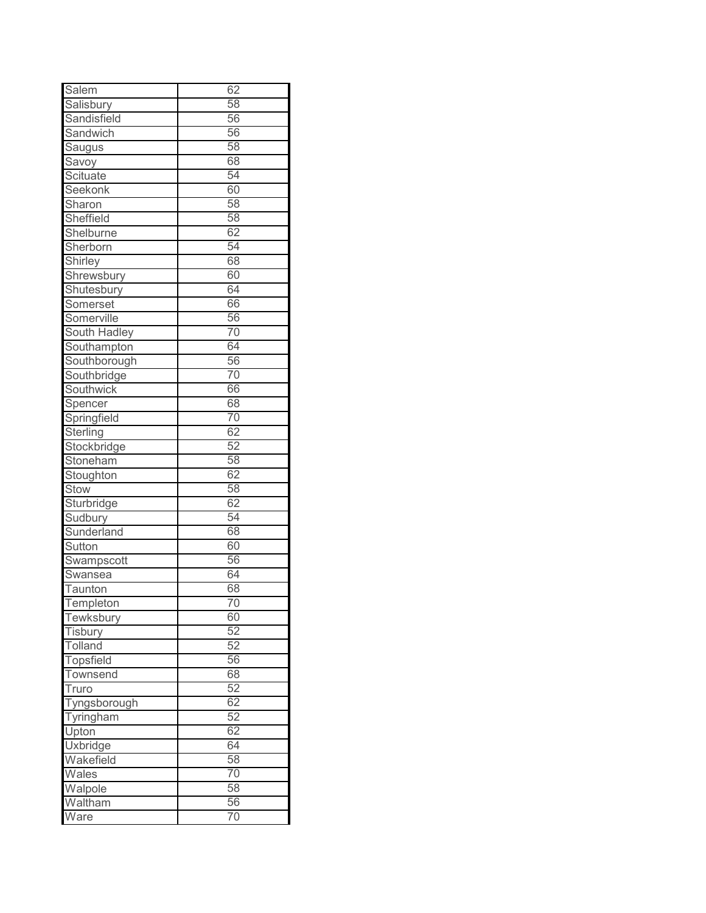| Salem            | 62              |
|------------------|-----------------|
| Salisbury        | 58              |
| Sandisfield      | 56              |
| Sandwich         | 56              |
| Saugus           | 58              |
| Savoy            | 68              |
| Scituate         | 54              |
| Seekonk          | 60              |
| Sharon           | 58              |
| Sheffield        | 58              |
| Shelburne        | 62              |
| Sherborn         | 54              |
| Shirley          | 68              |
| Shrewsbury       | 60              |
| Shutesbury       | 64              |
| Somerset         | 66              |
| Somerville       | 56              |
| South Hadley     | 70              |
| Southampton      | 64              |
| Southborough     | 56              |
| Southbridge      | 70              |
| Southwick        | 66              |
| Spencer          | 68              |
| Springfield      | 70              |
| Sterling         | 62              |
| Stockbridge      | 52              |
| Stoneham         | 58              |
| Stoughton        | 62              |
| Stow             | 58              |
| Sturbridge       | 62              |
| Sudbury          | 54              |
| Sunderland       | 68              |
| Sutton           | 60              |
| Swampscott       | 56              |
| Swansea          | 64              |
| Taunton          | 68              |
| Templeton        | 70              |
| Tewksbury        | 60              |
| Tisbury          | 52              |
| Tolland          | 52              |
| <b>Topsfield</b> | 56              |
| Townsend         | 68              |
| Truro            | 52              |
| Tyngsborough     | 62              |
| Tyringham        | 52              |
| Upton            | 62              |
| Uxbridge         | 64              |
| Wakefield        | 58              |
| Wales            | $\overline{70}$ |
| Walpole          | 58              |
| Waltham          | 56              |
| Ware             | 70              |